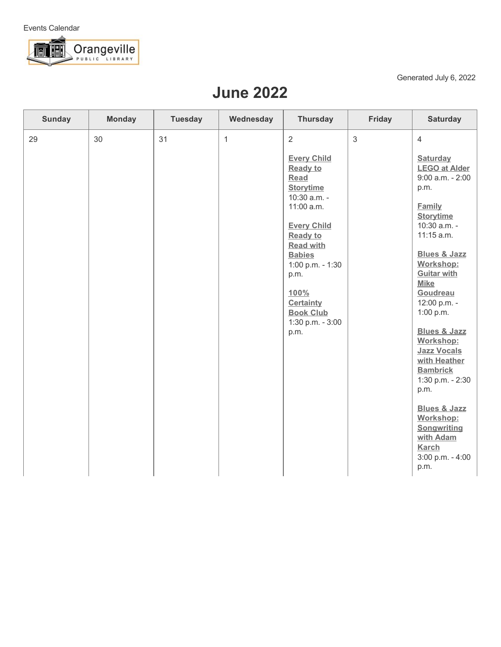

Generated July 6, 2022

## **June 2022**

| <b>Sunday</b> | <b>Monday</b> | <b>Tuesday</b> | Wednesday    | <b>Thursday</b>                                                                                                                                                                                                                                                                                         | <b>Friday</b> | <b>Saturday</b>                                                                                                                                                                                                                                                                                                                                                                                                                                                                                                                     |
|---------------|---------------|----------------|--------------|---------------------------------------------------------------------------------------------------------------------------------------------------------------------------------------------------------------------------------------------------------------------------------------------------------|---------------|-------------------------------------------------------------------------------------------------------------------------------------------------------------------------------------------------------------------------------------------------------------------------------------------------------------------------------------------------------------------------------------------------------------------------------------------------------------------------------------------------------------------------------------|
| 29            | 30            | 31             | $\mathbf{1}$ | $\overline{2}$<br><b>Every Child</b><br><b>Ready to</b><br>Read<br><b>Storytime</b><br>10:30 a.m. -<br>11:00 a.m.<br><b>Every Child</b><br><b>Ready to</b><br><b>Read with</b><br><b>Babies</b><br>1:00 p.m. - 1:30<br>p.m.<br>100%<br><b>Certainty</b><br><b>Book Club</b><br>1:30 p.m. - 3:00<br>p.m. | $\mathbf{3}$  | $\overline{4}$<br><b>Saturday</b><br><b>LEGO at Alder</b><br>$9:00$ a.m. - $2:00$<br>p.m.<br><b>Family</b><br><b>Storytime</b><br>10:30 a.m. -<br>11:15 a.m.<br><b>Blues &amp; Jazz</b><br>Workshop:<br><b>Guitar with</b><br><b>Mike</b><br>Goudreau<br>12:00 p.m. -<br>1:00 p.m.<br><b>Blues &amp; Jazz</b><br>Workshop:<br><b>Jazz Vocals</b><br>with Heather<br><b>Bambrick</b><br>1:30 p.m. - 2:30<br>p.m.<br><b>Blues &amp; Jazz</b><br>Workshop:<br>Songwriting<br>with Adam<br><b>Karch</b><br>$3:00$ p.m. - $4:00$<br>p.m. |